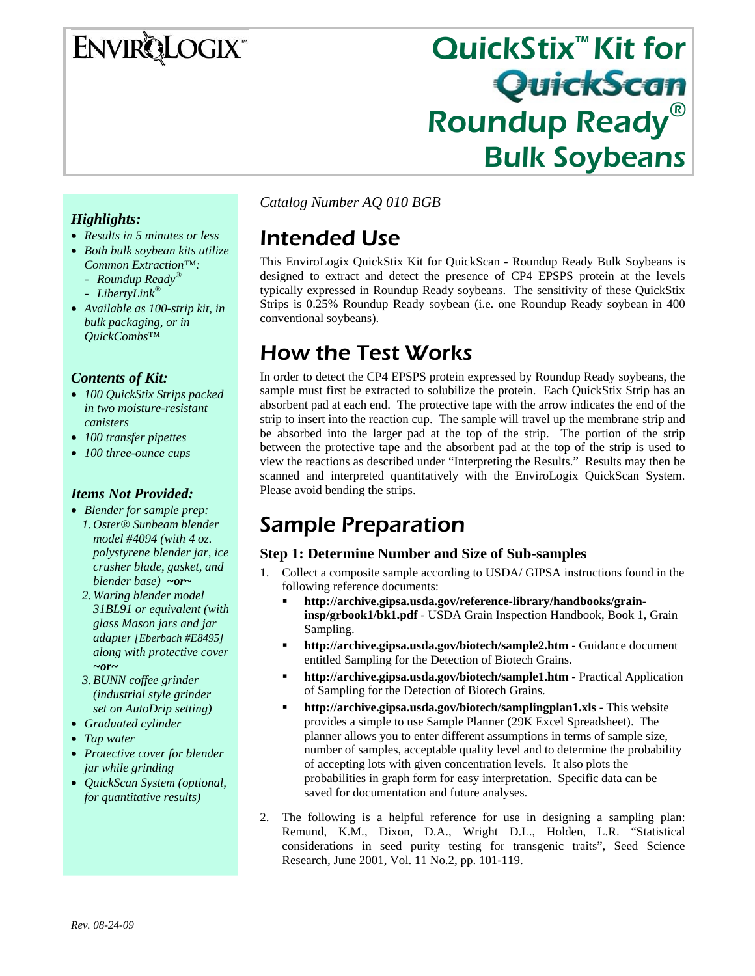## ENVIRQLOGIX

# QuickStix™ Kit for Roundup Ready® Bulk Soybeans

#### *Highlights:*

- *Results in 5 minutes or less*
- *Both bulk soybean kits utilize Common Extraction™:* 
	- *Roundup Ready®*
	- *LibertyLink®*
- *Available as 100-strip kit, in bulk packaging, or in QuickCombs™*

#### *Contents of Kit:*

- *100 QuickStix Strips packed in two moisture-resistant canisters*
- *100 transfer pipettes*
- *100 three-ounce cups*

#### *Items Not Provided:*

- *Blender for sample prep: 1. Oster® Sunbeam blender model #4094 (with 4 oz. polystyrene blender jar, ice crusher blade, gasket, and blender base) ~or~*
	- *2. Waring blender model 31BL91 or equivalent (with glass Mason jars and jar adapter [Eberbach #E8495] along with protective cover ~or~*
	- *3.BUNN coffee grinder (industrial style grinder set on AutoDrip setting)*
- *Graduated cylinder*
- *Tap water*
- *Protective cover for blender jar while grinding*
- *QuickScan System (optional, for quantitative results)*

*Catalog Number AQ 010 BGB*

## Intended Use

This EnviroLogix QuickStix Kit for QuickScan - Roundup Ready Bulk Soybeans is designed to extract and detect the presence of CP4 EPSPS protein at the levels typically expressed in Roundup Ready soybeans. The sensitivity of these QuickStix Strips is 0.25% Roundup Ready soybean (i.e. one Roundup Ready soybean in 400 conventional soybeans).

## How the Test Works

In order to detect the CP4 EPSPS protein expressed by Roundup Ready soybeans, the sample must first be extracted to solubilize the protein. Each QuickStix Strip has an absorbent pad at each end. The protective tape with the arrow indicates the end of the strip to insert into the reaction cup. The sample will travel up the membrane strip and be absorbed into the larger pad at the top of the strip. The portion of the strip between the protective tape and the absorbent pad at the top of the strip is used to view the reactions as described under "Interpreting the Results." Results may then be scanned and interpreted quantitatively with the EnviroLogix QuickScan System. Please avoid bending the strips.

## Sample Preparation

#### **Step 1: Determine Number and Size of Sub-samples**

- 1. Collect a composite sample according to USDA/ GIPSA instructions found in the following reference documents:
	- **http://archive.gipsa.usda.gov/reference-library/handbooks/graininsp/grbook1/bk1.pdf** - USDA Grain Inspection Handbook, Book 1, Grain Sampling.
	- **http://archive.gipsa.usda.gov/biotech/sample2.htm** Guidance document entitled Sampling for the Detection of Biotech Grains.
	- **http://archive.gipsa.usda.gov/biotech/sample1.htm** Practical Application of Sampling for the Detection of Biotech Grains.
	- **http://archive.gipsa.usda.gov/biotech/samplingplan1.xls** This website provides a simple to use Sample Planner (29K Excel Spreadsheet). The planner allows you to enter different assumptions in terms of sample size, number of samples, acceptable quality level and to determine the probability of accepting lots with given concentration levels. It also plots the probabilities in graph form for easy interpretation. Specific data can be saved for documentation and future analyses.
- 2. The following is a helpful reference for use in designing a sampling plan: Remund, K.M., Dixon, D.A., Wright D.L., Holden, L.R. "Statistical considerations in seed purity testing for transgenic traits", Seed Science Research, June 2001, Vol. 11 No.2, pp. 101-119.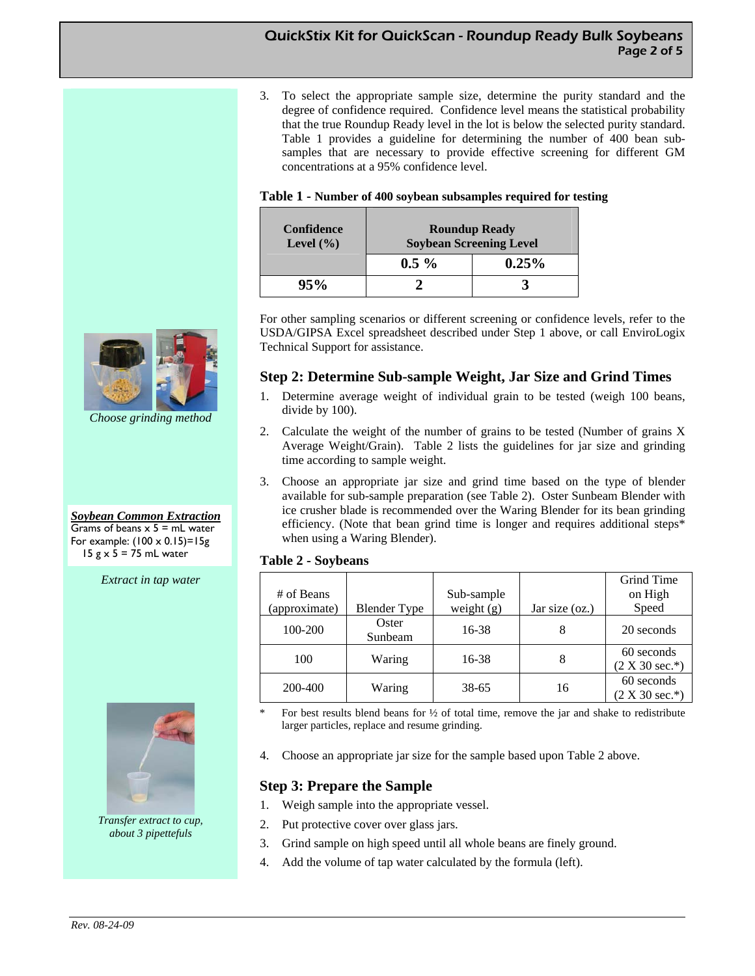3. To select the appropriate sample size, determine the purity standard and the degree of confidence required. Confidence level means the statistical probability that the true Roundup Ready level in the lot is below the selected purity standard. Table 1 provides a guideline for determining the number of 400 bean subsamples that are necessary to provide effective screening for different GM concentrations at a 95% confidence level.

| Table 1 - Number of 400 soybean subsamples required for testing |  |
|-----------------------------------------------------------------|--|
|-----------------------------------------------------------------|--|

| <b>Confidence</b><br>Level $(\% )$ | <b>Roundup Ready</b><br><b>Soybean Screening Level</b> |          |  |  |
|------------------------------------|--------------------------------------------------------|----------|--|--|
|                                    | $0.5\%$                                                | $0.25\%$ |  |  |
| 95%                                |                                                        |          |  |  |

For other sampling scenarios or different screening or confidence levels, refer to the USDA/GIPSA Excel spreadsheet described under Step 1 above, or call EnviroLogix Technical Support for assistance.

#### **Step 2: Determine Sub-sample Weight, Jar Size and Grind Times**

- 1. Determine average weight of individual grain to be tested (weigh 100 beans, divide by 100).
- 2. Calculate the weight of the number of grains to be tested (Number of grains X Average Weight/Grain). Table 2 lists the guidelines for jar size and grinding time according to sample weight.
- 3. Choose an appropriate jar size and grind time based on the type of blender available for sub-sample preparation (see Table 2). Oster Sunbeam Blender with ice crusher blade is recommended over the Waring Blender for its bean grinding efficiency. (Note that bean grind time is longer and requires additional steps\* when using a Waring Blender).

#### **Table 2 - Soybeans**

| # of Beans    |                     | Sub-sample   |                  | Grind Time<br>on High          |
|---------------|---------------------|--------------|------------------|--------------------------------|
| (approximate) | <b>Blender Type</b> | weight $(g)$ | Jar size $(oz.)$ | Speed                          |
| 100-200       | Oster<br>Sunbeam    | 16-38        | 8                | 20 seconds                     |
| 100           | Waring              | 16-38        | 8                | 60 seconds<br>$(2 X 30 sec.*)$ |
| 200-400       | Waring              | 38-65        | 16               | 60 seconds<br>$(2 X 30 sec.*)$ |

- For best results blend beans for  $\frac{1}{2}$  of total time, remove the jar and shake to redistribute larger particles, replace and resume grinding.
- 4. Choose an appropriate jar size for the sample based upon Table 2 above.

#### **Step 3: Prepare the Sample**

- 1. Weigh sample into the appropriate vessel.
- 2. Put protective cover over glass jars.
- 3. Grind sample on high speed until all whole beans are finely ground.
- 4. Add the volume of tap water calculated by the formula (left).



*Choose grinding method* 

*Soybean Common Extraction* Grams of beans  $x$  5 = mL water For example:  $(100 \times 0.15)=15g$  $15 g \times 5 = 75$  mL water

#### *Extract in tap water*



*Transfer extract to cup, about 3 pipettefuls*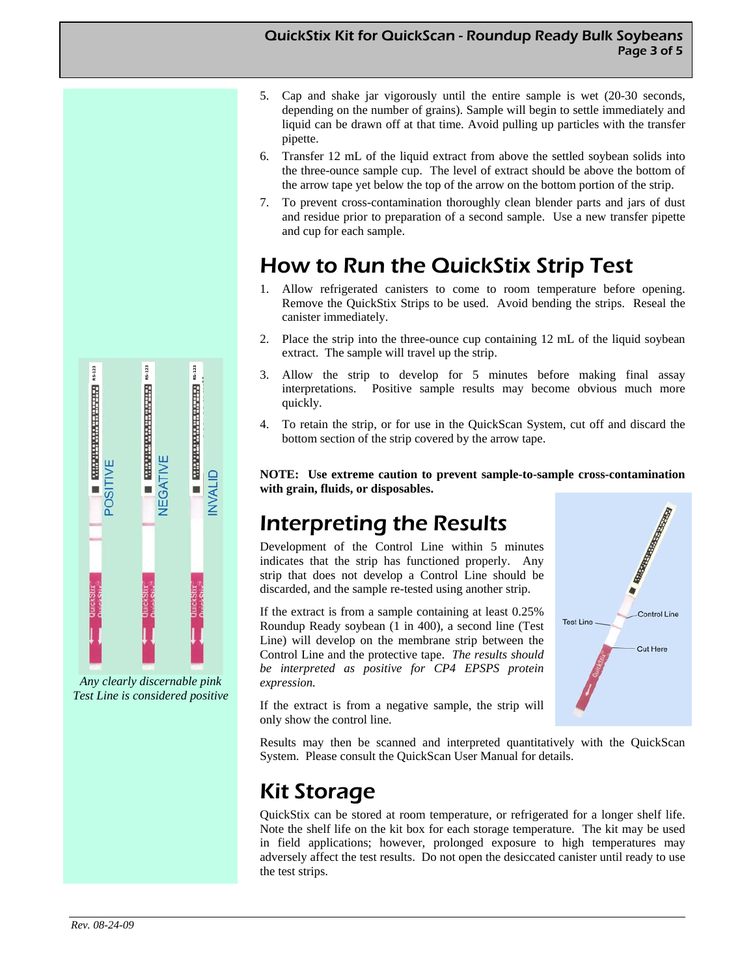#### QuickStix Kit for QuickScan - Roundup Ready Bulk Soybeans Page 3 of 5

- 5. Cap and shake jar vigorously until the entire sample is wet (20-30 seconds, depending on the number of grains). Sample will begin to settle immediately and liquid can be drawn off at that time. Avoid pulling up particles with the transfer pipette.
- 6. Transfer 12 mL of the liquid extract from above the settled soybean solids into the three-ounce sample cup. The level of extract should be above the bottom of the arrow tape yet below the top of the arrow on the bottom portion of the strip.
- 7. To prevent cross-contamination thoroughly clean blender parts and jars of dust and residue prior to preparation of a second sample. Use a new transfer pipette and cup for each sample.

## How to Run the QuickStix Strip Test

- 1. Allow refrigerated canisters to come to room temperature before opening. Remove the QuickStix Strips to be used. Avoid bending the strips. Reseal the canister immediately.
- 2. Place the strip into the three-ounce cup containing 12 mL of the liquid soybean extract. The sample will travel up the strip.
- 3. Allow the strip to develop for 5 minutes before making final assay interpretations. Positive sample results may become obvious much more quickly.
- 4. To retain the strip, or for use in the QuickScan System, cut off and discard the bottom section of the strip covered by the arrow tape.

**NOTE: Use extreme caution to prevent sample-to-sample cross-contamination with grain, fluids, or disposables.** 

## Interpreting the Results

Development of the Control Line within 5 minutes indicates that the strip has functioned properly. Any strip that does not develop a Control Line should be discarded, and the sample re-tested using another strip.

If the extract is from a sample containing at least 0.25% Roundup Ready soybean (1 in 400), a second line (Test Line) will develop on the membrane strip between the Control Line and the protective tape. *The results should be interpreted as positive for CP4 EPSPS protein expression.* 



If the extract is from a negative sample, the strip will only show the control line.

Results may then be scanned and interpreted quantitatively with the QuickScan System. Please consult the QuickScan User Manual for details.

## Kit Storage

QuickStix can be stored at room temperature, or refrigerated for a longer shelf life. Note the shelf life on the kit box for each storage temperature. The kit may be used in field applications; however, prolonged exposure to high temperatures may adversely affect the test results. Do not open the desiccated canister until ready to use the test strips.



*Any clearly discernable pink Test Line is considered positive*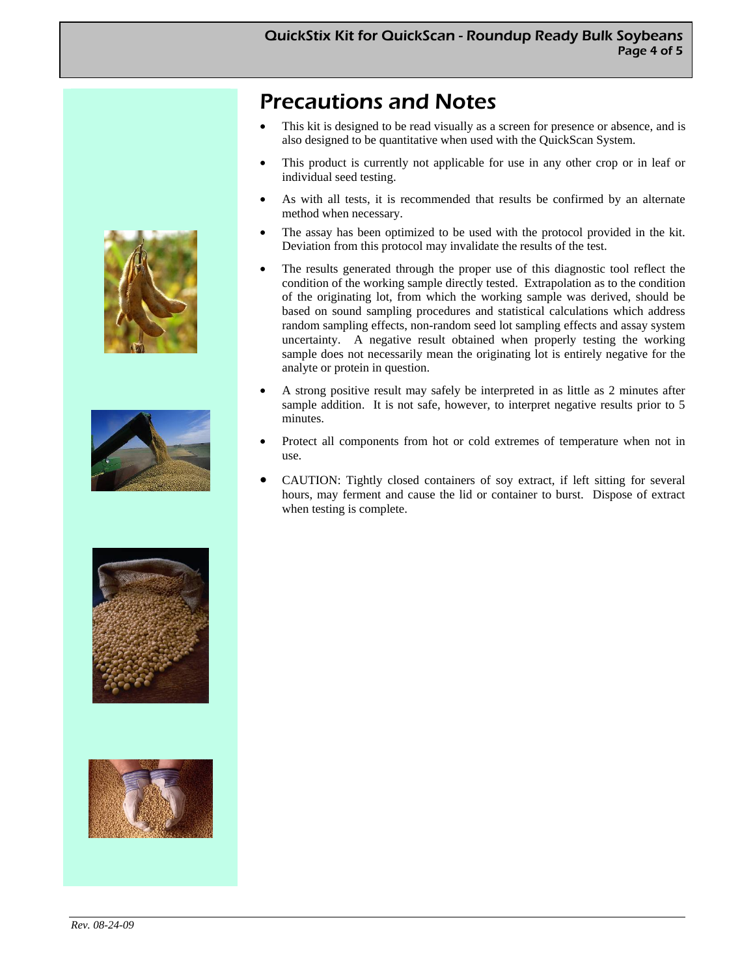## Precautions and Notes

- This kit is designed to be read visually as a screen for presence or absence, and is also designed to be quantitative when used with the QuickScan System.
- This product is currently not applicable for use in any other crop or in leaf or individual seed testing.
- As with all tests, it is recommended that results be confirmed by an alternate method when necessary.
- The assay has been optimized to be used with the protocol provided in the kit. Deviation from this protocol may invalidate the results of the test.
- The results generated through the proper use of this diagnostic tool reflect the condition of the working sample directly tested. Extrapolation as to the condition of the originating lot, from which the working sample was derived, should be based on sound sampling procedures and statistical calculations which address random sampling effects, non-random seed lot sampling effects and assay system uncertainty. A negative result obtained when properly testing the working sample does not necessarily mean the originating lot is entirely negative for the analyte or protein in question.
- A strong positive result may safely be interpreted in as little as 2 minutes after sample addition. It is not safe, however, to interpret negative results prior to 5 minutes.
- Protect all components from hot or cold extremes of temperature when not in use.
- CAUTION: Tightly closed containers of soy extract, if left sitting for several hours, may ferment and cause the lid or container to burst. Dispose of extract when testing is complete.